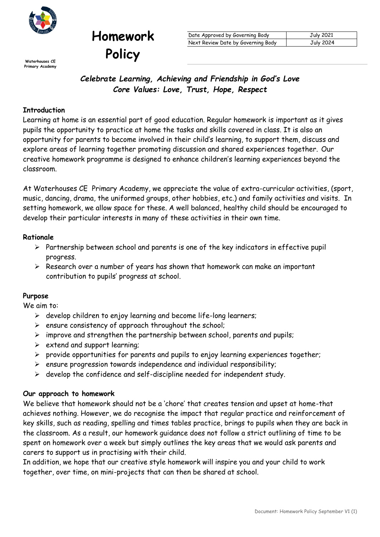

**Policy Primary Academy**

| Date Approved by Governing Body    | July 2021 |
|------------------------------------|-----------|
| Next Review Date by Governing Body | July 2024 |

*Celebrate Learning, Achieving and Friendship in God's Love Core Values: Love, Trust, Hope, Respect*

### **Introduction**

Learning at home is an essential part of good education. Regular homework is important as it gives pupils the opportunity to practice at home the tasks and skills covered in class. It is also an opportunity for parents to become involved in their child's learning, to support them, discuss and explore areas of learning together promoting discussion and shared experiences together. Our creative homework programme is designed to enhance children's learning experiences beyond the classroom.

At Waterhouses CE Primary Academy, we appreciate the value of extra-curricular activities, (sport, music, dancing, drama, the uniformed groups, other hobbies, etc.) and family activities and visits. In setting homework, we allow space for these. A well balanced, healthy child should be encouraged to develop their particular interests in many of these activities in their own time.

#### **Rationale**

- $\triangleright$  Partnership between school and parents is one of the key indicators in effective pupil progress.
- $\triangleright$  Research over a number of years has shown that homework can make an important contribution to pupils' progress at school.

#### **Purpose**

We aim to:

- $\triangleright$  develop children to enjoy learning and become life-long learners;
- $\triangleright$  ensure consistency of approach throughout the school;

**Homework**

- $\triangleright$  improve and strengthen the partnership between school, parents and pupils;
- $\triangleright$  extend and support learning;
- $\triangleright$  provide opportunities for parents and pupils to enjoy learning experiences together;
- $\triangleright$  ensure progression towards independence and individual responsibility;
- $\triangleright$  develop the confidence and self-discipline needed for independent study.

#### **Our approach to homework**

We believe that homework should not be a 'chore' that creates tension and upset at home-that achieves nothing. However, we do recognise the impact that regular practice and reinforcement of key skills, such as reading, spelling and times tables practice, brings to pupils when they are back in the classroom. As a result, our homework guidance does not follow a strict outlining of time to be spent on homework over a week but simply outlines the key areas that we would ask parents and carers to support us in practising with their child.

In addition, we hope that our creative style homework will inspire you and your child to work together, over time, on mini-projects that can then be shared at school.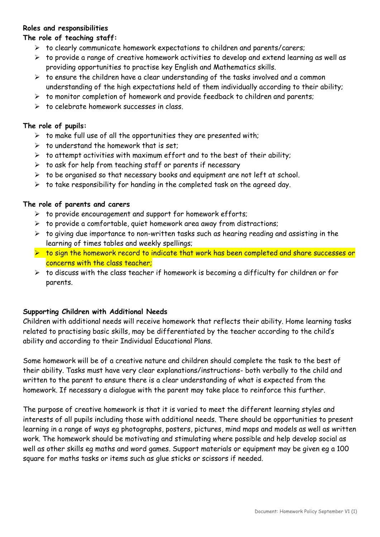### **Roles and responsibilities**

## **The role of teaching staff:**

- $\triangleright$  to clearly communicate homework expectations to children and parents/carers;
- $\triangleright$  to provide a range of creative homework activities to develop and extend learning as well as providing opportunities to practise key English and Mathematics skills.
- $\triangleright$  to ensure the children have a clear understanding of the tasks involved and a common understanding of the high expectations held of them individually according to their ability;
- $\triangleright$  to monitor completion of homework and provide feedback to children and parents;
- $\triangleright$  to celebrate homework successes in class.

## **The role of pupils:**

- $\triangleright$  to make full use of all the opportunities they are presented with;
- $\triangleright$  to understand the homework that is set.
- $\triangleright$  to attempt activities with maximum effort and to the best of their ability;
- $\triangleright$  to ask for help from teaching staff or parents if necessary
- $\triangleright$  to be organised so that necessary books and equipment are not left at school.
- $\triangleright$  to take responsibility for handing in the completed task on the agreed day.

## **The role of parents and carers**

- $\triangleright$  to provide encouragement and support for homework efforts;
- $\triangleright$  to provide a comfortable, quiet homework area away from distractions;
- $\triangleright$  to giving due importance to non-written tasks such as hearing reading and assisting in the learning of times tables and weekly spellings;
- > to sign the homework record to indicate that work has been completed and share successes or concerns with the class teacher;
- $\triangleright$  to discuss with the class teacher if homework is becoming a difficulty for children or for parents.

# **Supporting Children with Additional Needs**

Children with additional needs will receive homework that reflects their ability. Home learning tasks related to practising basic skills, may be differentiated by the teacher according to the child's ability and according to their Individual Educational Plans.

Some homework will be of a creative nature and children should complete the task to the best of their ability. Tasks must have very clear explanations/instructions- both verbally to the child and written to the parent to ensure there is a clear understanding of what is expected from the homework. If necessary a dialogue with the parent may take place to reinforce this further.

The purpose of creative homework is that it is varied to meet the different learning styles and interests of all pupils including those with additional needs. There should be opportunities to present learning in a range of ways eg photographs, posters, pictures, mind maps and models as well as written work. The homework should be motivating and stimulating where possible and help develop social as well as other skills eg maths and word games. Support materials or equipment may be given eg a 100 square for maths tasks or items such as glue sticks or scissors if needed.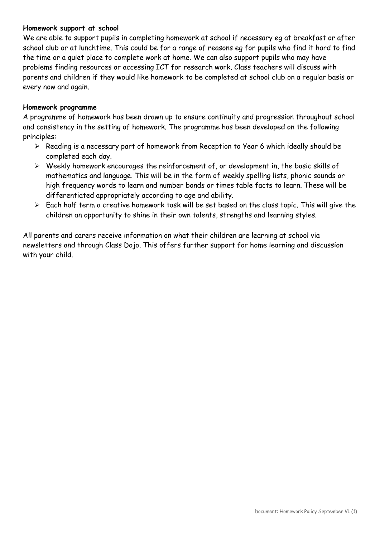### **Homework support at school**

We are able to support pupils in completing homework at school if necessary eg at breakfast or after school club or at lunchtime. This could be for a range of reasons eg for pupils who find it hard to find the time or a quiet place to complete work at home. We can also support pupils who may have problems finding resources or accessing ICT for research work. Class teachers will discuss with parents and children if they would like homework to be completed at school club on a regular basis or every now and again.

### **Homework programme**

A programme of homework has been drawn up to ensure continuity and progression throughout school and consistency in the setting of homework. The programme has been developed on the following principles:

- $\triangleright$  Reading is a necessary part of homework from Reception to Year 6 which ideally should be completed each day.
- $\triangleright$  Weekly homework encourages the reinforcement of, or development in, the basic skills of mathematics and language. This will be in the form of weekly spelling lists, phonic sounds or high frequency words to learn and number bonds or times table facts to learn. These will be differentiated appropriately according to age and ability.
- $\triangleright$  Each half term a creative homework task will be set based on the class topic. This will give the children an opportunity to shine in their own talents, strengths and learning styles.

All parents and carers receive information on what their children are learning at school via newsletters and through Class Dojo. This offers further support for home learning and discussion with your child.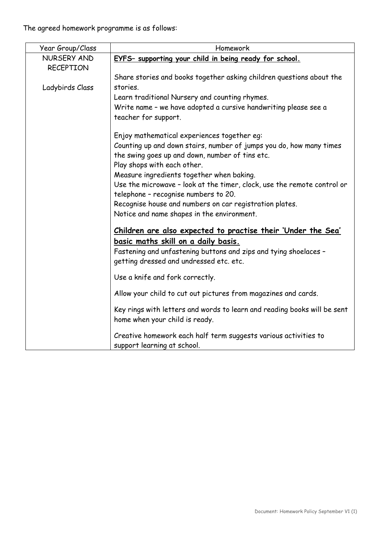The agreed homework programme is as follows:

| Year Group/Class                | Homework                                                                                                               |
|---------------------------------|------------------------------------------------------------------------------------------------------------------------|
| NURSERY AND<br><b>RECEPTION</b> | EYFS- supporting your child in being ready for school.                                                                 |
|                                 | Share stories and books together asking children questions about the                                                   |
| Ladybirds Class                 | stories.                                                                                                               |
|                                 | Learn traditional Nursery and counting rhymes.                                                                         |
|                                 | Write name - we have adopted a cursive handwriting please see a<br>teacher for support.                                |
|                                 | Enjoy mathematical experiences together eg:                                                                            |
|                                 | Counting up and down stairs, number of jumps you do, how many times<br>the swing goes up and down, number of tins etc. |
|                                 | Play shops with each other.                                                                                            |
|                                 | Measure ingredients together when baking.<br>Use the microwave - look at the timer, clock, use the remote control or   |
|                                 | telephone - recognise numbers to 20.                                                                                   |
|                                 | Recognise house and numbers on car registration plates.                                                                |
|                                 | Notice and name shapes in the environment.                                                                             |
|                                 | <u>Children are also expected to practise their 'Under the Sea'</u>                                                    |
|                                 | basic maths skill on a daily basis.                                                                                    |
|                                 | Fastening and unfastening buttons and zips and tying shoelaces -                                                       |
|                                 | getting dressed and undressed etc. etc.                                                                                |
|                                 | Use a knife and fork correctly.                                                                                        |
|                                 | Allow your child to cut out pictures from magazines and cards.                                                         |
|                                 | Key rings with letters and words to learn and reading books will be sent                                               |
|                                 | home when your child is ready.                                                                                         |
|                                 | Creative homework each half term suggests various activities to<br>support learning at school.                         |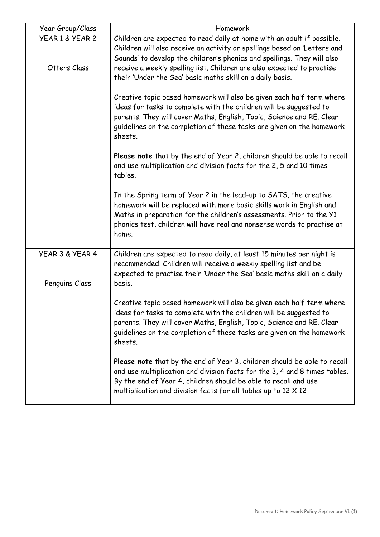| Year Group/Class                  | Homework                                                                                                                                                                                                                                                                                                 |
|-----------------------------------|----------------------------------------------------------------------------------------------------------------------------------------------------------------------------------------------------------------------------------------------------------------------------------------------------------|
| YEAR 1 & YEAR 2                   | Children are expected to read daily at home with an adult if possible.<br>Children will also receive an activity or spellings based on 'Letters and<br>Sounds' to develop the children's phonics and spellings. They will also                                                                           |
| Otters Class                      | receive a weekly spelling list. Children are also expected to practise<br>their 'Under the Sea' basic maths skill on a daily basis.                                                                                                                                                                      |
|                                   | Creative topic based homework will also be given each half term where<br>ideas for tasks to complete with the children will be suggested to<br>parents. They will cover Maths, English, Topic, Science and RE. Clear<br>guidelines on the completion of these tasks are given on the homework<br>sheets. |
|                                   | Please note that by the end of Year 2, children should be able to recall<br>and use multiplication and division facts for the 2, 5 and 10 times<br>tables.                                                                                                                                               |
|                                   | In the Spring term of Year 2 in the lead-up to SATS, the creative<br>homework will be replaced with more basic skills work in English and<br>Maths in preparation for the children's assessments. Prior to the Y1<br>phonics test, children will have real and nonsense words to practise at<br>home.    |
| YEAR 3 & YEAR 4<br>Penguins Class | Children are expected to read daily, at least 15 minutes per night is<br>recommended. Children will receive a weekly spelling list and be<br>expected to practise their 'Under the Sea' basic maths skill on a daily<br>basis.                                                                           |
|                                   | Creative topic based homework will also be given each half term where<br>ideas for tasks to complete with the children will be suggested to<br>parents. They will cover Maths, English, Topic, Science and RE. Clear<br>guidelines on the completion of these tasks are given on the homework<br>sheets. |
|                                   | Please note that by the end of Year 3, children should be able to recall<br>and use multiplication and division facts for the 3, 4 and 8 times tables.<br>By the end of Year 4, children should be able to recall and use<br>multiplication and division facts for all tables up to 12 X 12              |